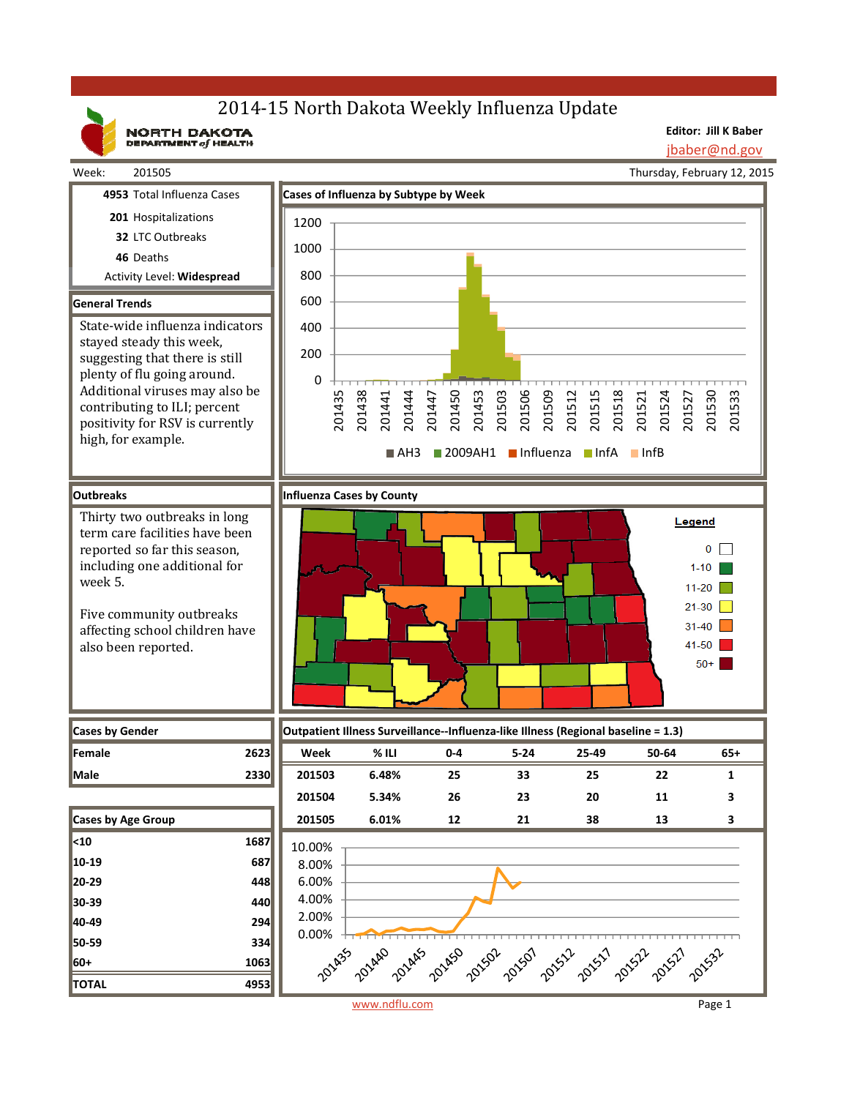# 2014-15 North Dakota Weekly Influenza Update

NORTH DAKOTA

**Editor: Jill K Baber**

jbaber@nd.gov

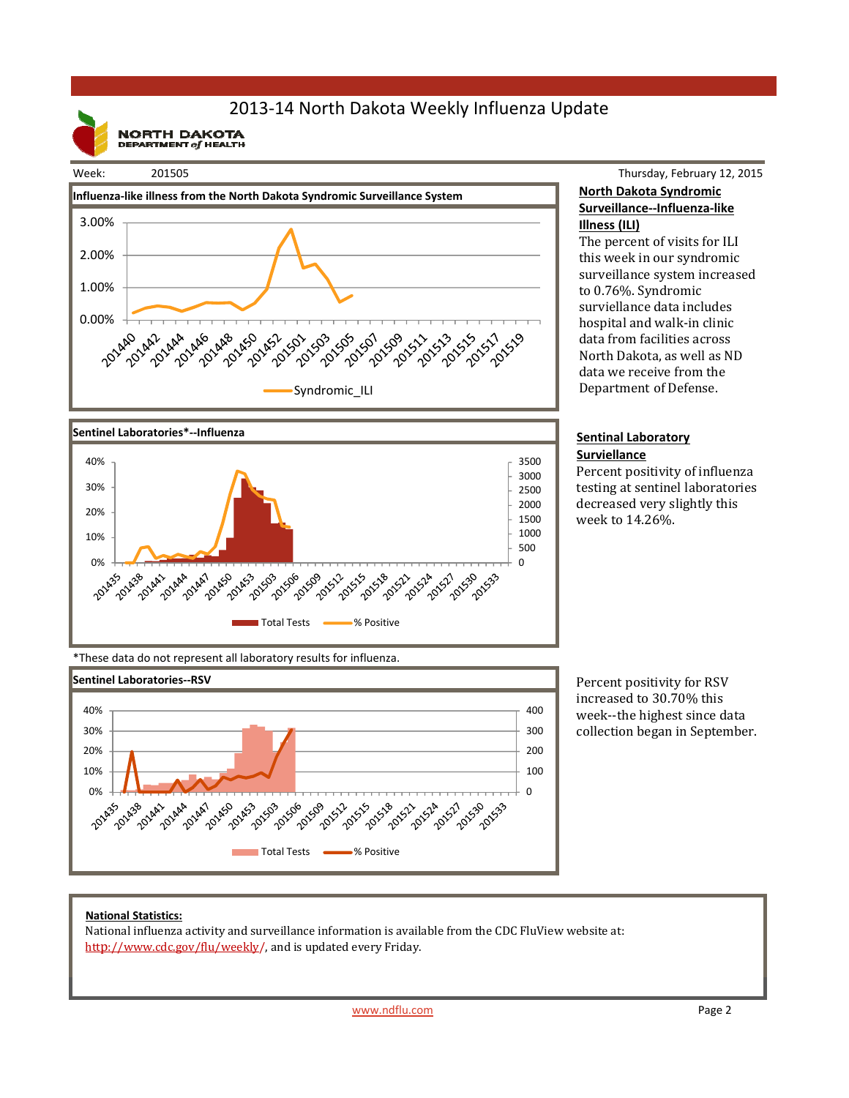## 2013‐14 North Dakota Weekly Influenza Update

**NORTH DAKOTA**<br>DEPARTMENT of HEALTH

#### Week: 201505





### Thursday, February 12, 2015 **North Dakota Syndromic Surveillance‐‐Influenza‐like Illness (ILI)**

The percent of visits for ILI this week in our syndromic surveillance system increased to 0.76%. Syndromic surviellance data includes hospital and walk-in clinic data from facilities across North Dakota, as well as ND data we receive from the Department of Defense.

#### **Sentinal Laboratory Surviellance**

Percent positivity of influenza testing at sentinel laboratories decreased very slightly this week to 14.26%. 

\*These data do not represent all laboratory results for influenza.



Percent positivity for RSV increased to 30.70% this week--the highest since data collection began in September.

#### **National Statistics:**

National influenza activity and surveillance information is available from the CDC FluView website at: http://www.cdc.gov/flu/weekly/, and is updated every Friday.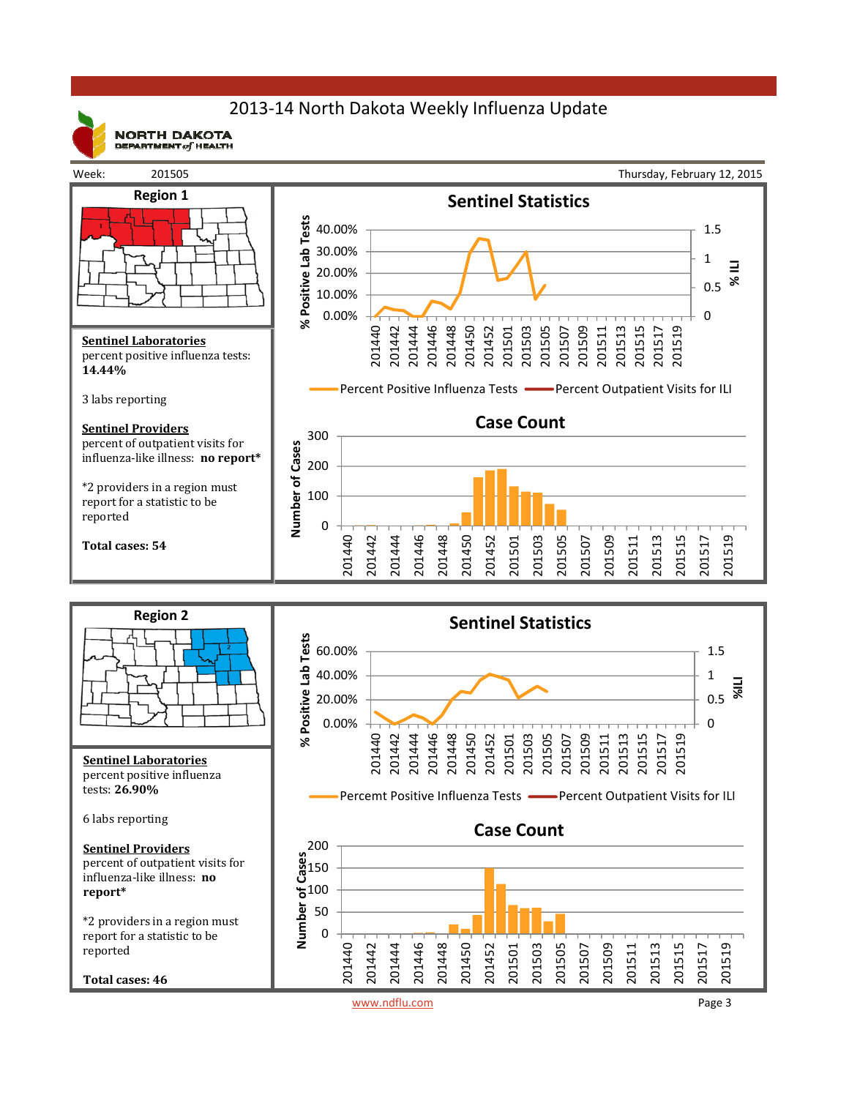## 2013‐14 North Dakota Weekly Influenza Update



**NORTH DAKOTA** DEPARTMENT  $of$  HEALTH